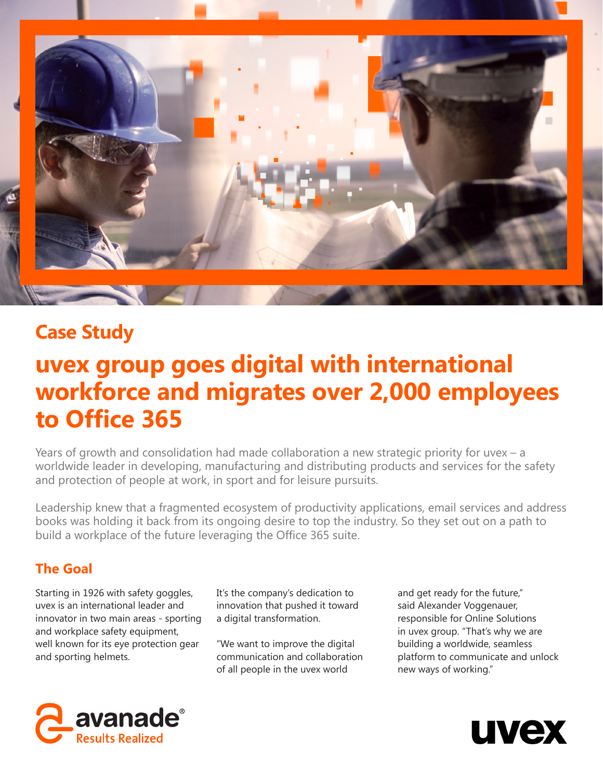

# **Case Study**

# **uvex group goes digital with international workforce and migrates over 2,000 employees to Office 365**

Years of growth and consolidation had made collaboration a new strategic priority for uvex – a worldwide leader in developing, manufacturing and distributing products and services for the safety and protection of people at work, in sport and for leisure pursuits.

Leadership knew that a fragmented ecosystem of productivity applications, email services and address books was holding it back from its ongoing desire to top the industry. So they set out on a path to build a workplace of the future leveraging the Office 365 suite.

## **The Goal**

Starting in 1926 with safety goggles, uvex is an international leader and innovator in two main areas - sporting and workplace safety equipment, well known for its eye protection gear and sporting helmets.

It's the company's dedication to innovation that pushed it toward a digital transformation.

"We want to improve the digital communication and collaboration of all people in the uvex world

and get ready for the future," said Alexander Voggenauer, responsible for Online Solutions in uvex group. "That's why we are building a worldwide, seamless platform to communicate and unlock new ways of working."



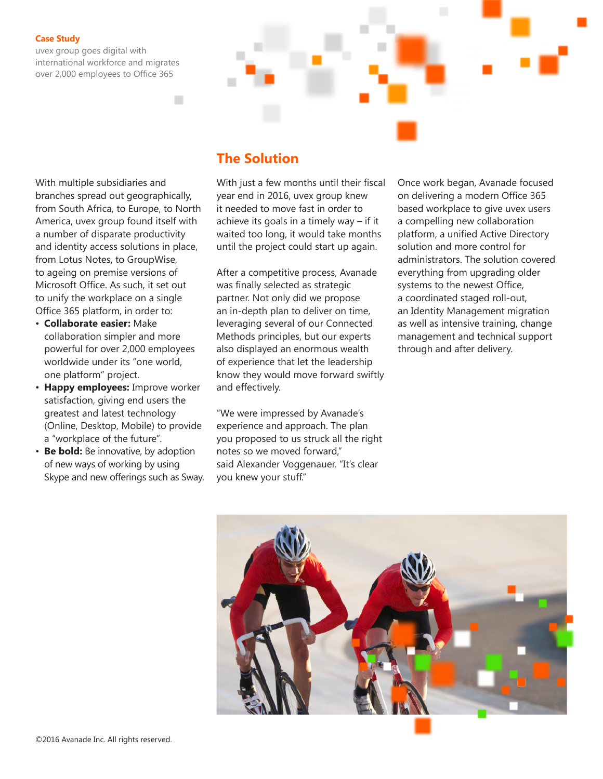## **Case Study**

uvex group goes digital with international workforce and migrates over 2,000 employees to Office 365

With multiple subsidiaries and branches spread out geographically, from South Africa, to Europe, to North America, uvex group found itself with a number of disparate productivity and identity access solutions in place, from Lotus Notes, to GroupWise, to ageing on premise versions of Microsoft Office. As such, it set out to unify the workplace on a single Office 365 platform, in order to:

- **Collaborate easier:** Make collaboration simpler and more powerful for over 2,000 employees worldwide under its "one world, one platform" project.
- **Happy employees:** Improve worker satisfaction, giving end users the greatest and latest technology (Online, Desktop, Mobile) to provide a "workplace of the future".
- **Be bold:** Be innovative, by adoption of new ways of working by using Skype and new offerings such as Sway.

## **The Solution**

With just a few months until their fiscal year end in 2016, uvex group knew it needed to move fast in order to achieve its goals in a timely way – if it waited too long, it would take months until the project could start up again.

After a competitive process, Avanade was finally selected as strategic partner. Not only did we propose an in-depth plan to deliver on time, leveraging several of our Connected Methods principles, but our experts also displayed an enormous wealth of experience that let the leadership know they would move forward swiftly and effectively.

"We were impressed by Avanade's experience and approach. The plan you proposed to us struck all the right notes so we moved forward," said Alexander Voggenauer. "It's clear you knew your stuff."

Once work began, Avanade focused on delivering a modern Office 365 based workplace to give uvex users a compelling new collaboration platform, a unified Active Directory solution and more control for administrators. The solution covered everything from upgrading older systems to the newest Office, a coordinated staged roll-out, an Identity Management migration as well as intensive training, change management and technical support through and after delivery.